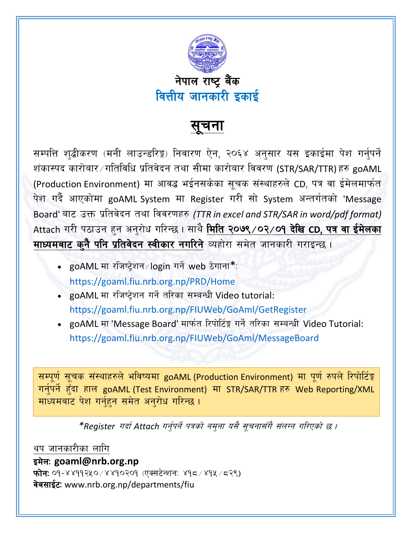

सचना

सम्पत्ति शुद्धीकरण (मनी लाउन्डरिङ्ग) निवारण ऐन, २०६४ अनुसार यस इकाईमा पेश गर्नुपर्ने शंकास्पद कारोबार ⁄ गतिविधि प्रतिवेदन तथा सीमा कारोबार विवरण (STR/SAR/TTR) हरु  $\mathsf{goAML}$ (Production Environment) मा आवद्ध भईनसकेका सूचक संस्थाहरुले CD, पत्र वा ईमेलमार्फत पेश गर्दै आएकोमा goAML System मा Register गरी सो System अन्तर्गतको 'Message Board' बाट उक्त प्रतिवेदन तथा विवरणहरु *(TTR in excel and STR/SAR in word/pdf format)* Attach गरी पठाउन हन अनुरोध गरिन्छ। साथै मिति २०७९/०२/०१ देखि CD, पत्र वा ईमेलका माध्यमबाट कुनै पनि प्रतिवेदन स्वीकार नगरिने व्यहोरा समेत जानकारी गराइन्छ।

- goAML मा रजिष्ट्रेशन / login गर्ने web ठेगाना\*: <https://goaml.fiu.nrb.org.np/PRD/Home>
- goAML मा रजिष्ट्रेशन गर्ने तरिका सम्बन्धी Video tutorial: <https://goaml.fiu.nrb.org.np/FIUWeb/GoAml/GetRegister>
- goAML मा 'Message Board' मार्फत रिपोर्टिङ्ग गर्ने तरिका सम्बन्धी Video Tutorial: https://goaml.fiu.nrb.org.np/FIUWeb/GoAml/MessageBoard

सम्पूर्ण सूचक संस्थाहरुले भविष्यमा goAML (Production Environment) मा पूर्ण रुपले रिपोर्टिङ्ग गर्नुपर्ने हुँदा हाल goAML (Test Environment) मा STR/SAR/TTR हरु Web Reporting/XML माध्यमबाट पेश गर्नुहुन समेत अनुरोध गरिन्छ ।

 $*$ Register गर्दा Attach गर्नुपर्ने पत्रको नम्**ना यसै सुचनासँगै संलग्न गरिएको छ** ।

थप जानकारीका लागि

## इमेल: <goaml@nrb.org.np>

फोन: ०१-४४११२५०/४४१०२०१ (एक्सटेन्शन: ४१८/४१५/८२९) वेबसाईट: [www.nrb.org.np/departments/fiu](file:///C:/Users/fiuanalysis06/Desktop/www.nrb.org.np/departments/fiu)